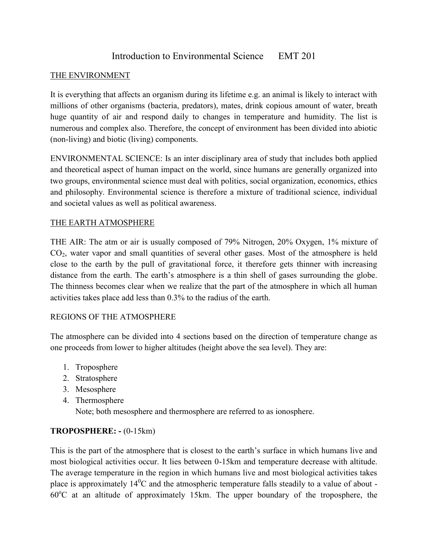# Introduction to Environmental Science EMT 201

### THE ENVIRONMENT

It is everything that affects an organism during its lifetime e.g. an animal is likely to interact with millions of other organisms (bacteria, predators), mates, drink copious amount of water, breath huge quantity of air and respond daily to changes in temperature and humidity. The list is numerous and complex also. Therefore, the concept of environment has been divided into abiotic (non-living) and biotic (living) components.

ENVIRONMENTAL SCIENCE: Is an inter disciplinary area of study that includes both applied and theoretical aspect of human impact on the world, since humans are generally organized into two groups, environmental science must deal with politics, social organization, economics, ethics and philosophy. Environmental science is therefore a mixture of traditional science, individual and societal values as well as political awareness.

### THE EARTH ATMOSPHERE

THE AIR: The atm or air is usually composed of 79% Nitrogen, 20% Oxygen, 1% mixture of CO2, water vapor and small quantities of several other gases. Most of the atmosphere is held close to the earth by the pull of gravitational force, it therefore gets thinner with increasing distance from the earth. The earth's atmosphere is a thin shell of gases surrounding the globe. The thinness becomes clear when we realize that the part of the atmosphere in which all human activities takes place add less than 0.3% to the radius of the earth.

### REGIONS OF THE ATMOSPHERE

The atmosphere can be divided into 4 sections based on the direction of temperature change as one proceeds from lower to higher altitudes (height above the sea level). They are:

- 1. Troposphere
- 2. Stratosphere
- 3. Mesosphere
- 4. Thermosphere

Note; both mesosphere and thermosphere are referred to as ionosphere.

### **TROPOSPHERE: -** (0-15km)

This is the part of the atmosphere that is closest to the earth's surface in which humans live and most biological activities occur. It lies between 0-15km and temperature decrease with altitude. The average temperature in the region in which humans live and most biological activities takes place is approximately  $14^{\circ}$ C and the atmospheric temperature falls steadily to a value of about - $60^{\circ}$ C at an altitude of approximately 15km. The upper boundary of the troposphere, the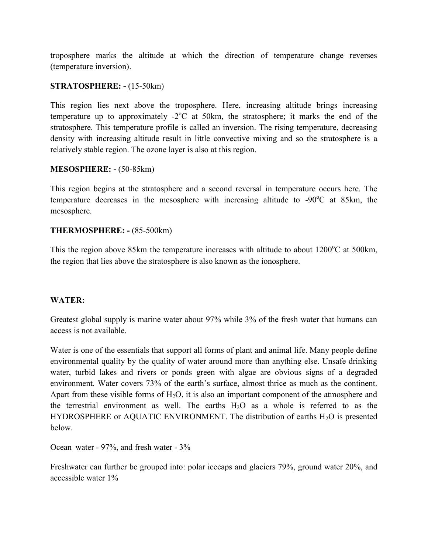troposphere marks the altitude at which the direction of temperature change reverses (temperature inversion).

#### **STRATOSPHERE: -** (15-50km)

This region lies next above the troposphere. Here, increasing altitude brings increasing temperature up to approximately  $-2$ <sup>o</sup>C at 50km, the stratosphere; it marks the end of the stratosphere. This temperature profile is called an inversion. The rising temperature, decreasing density with increasing altitude result in little convective mixing and so the stratosphere is a relatively stable region. The ozone layer is also at this region.

#### **MESOSPHERE: -** (50-85km)

This region begins at the stratosphere and a second reversal in temperature occurs here. The temperature decreases in the mesosphere with increasing altitude to  $-90^{\circ}$ C at 85km, the mesosphere.

#### **THERMOSPHERE: -** (85-500km)

This the region above 85km the temperature increases with altitude to about  $1200^{\circ}$ C at 500km, the region that lies above the stratosphere is also known as the ionosphere.

### **WATER:**

Greatest global supply is marine water about 97% while 3% of the fresh water that humans can access is not available.

Water is one of the essentials that support all forms of plant and animal life. Many people define environmental quality by the quality of water around more than anything else. Unsafe drinking water, turbid lakes and rivers or ponds green with algae are obvious signs of a degraded environment. Water covers 73% of the earth's surface, almost thrice as much as the continent. Apart from these visible forms of  $H_2O$ , it is also an important component of the atmosphere and the terrestrial environment as well. The earths  $H_2O$  as a whole is referred to as the HYDROSPHERE or AQUATIC ENVIRONMENT. The distribution of earths  $H_2O$  is presented below.

Ocean water - 97%, and fresh water - 3%

Freshwater can further be grouped into: polar icecaps and glaciers 79%, ground water 20%, and accessible water 1%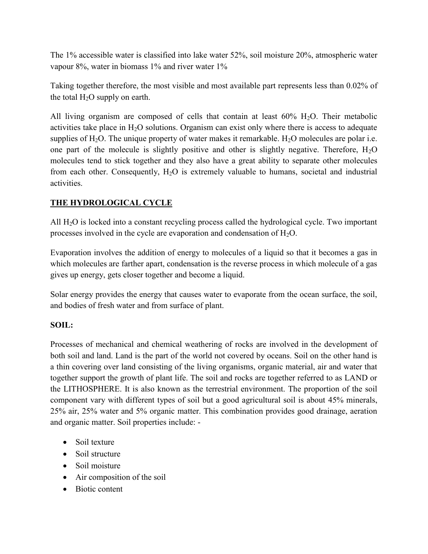The 1% accessible water is classified into lake water 52%, soil moisture 20%, atmospheric water vapour 8%, water in biomass 1% and river water 1%

Taking together therefore, the most visible and most available part represents less than 0.02% of the total  $H_2O$  supply on earth.

All living organism are composed of cells that contain at least  $60\%$  H<sub>2</sub>O. Their metabolic activities take place in  $H_2O$  solutions. Organism can exist only where there is access to adequate supplies of  $H_2O$ . The unique property of water makes it remarkable.  $H_2O$  molecules are polar i.e. one part of the molecule is slightly positive and other is slightly negative. Therefore,  $H_2O$ molecules tend to stick together and they also have a great ability to separate other molecules from each other. Consequently,  $H_2O$  is extremely valuable to humans, societal and industrial activities.

## **THE HYDROLOGICAL CYCLE**

All  $H_2O$  is locked into a constant recycling process called the hydrological cycle. Two important processes involved in the cycle are evaporation and condensation of  $H_2O$ .

Evaporation involves the addition of energy to molecules of a liquid so that it becomes a gas in which molecules are farther apart, condensation is the reverse process in which molecule of a gas gives up energy, gets closer together and become a liquid.

Solar energy provides the energy that causes water to evaporate from the ocean surface, the soil, and bodies of fresh water and from surface of plant.

### **SOIL:**

Processes of mechanical and chemical weathering of rocks are involved in the development of both soil and land. Land is the part of the world not covered by oceans. Soil on the other hand is a thin covering over land consisting of the living organisms, organic material, air and water that together support the growth of plant life. The soil and rocks are together referred to as LAND or the LITHOSPHERE. It is also known as the terrestrial environment. The proportion of the soil component vary with different types of soil but a good agricultural soil is about 45% minerals, 25% air, 25% water and 5% organic matter. This combination provides good drainage, aeration and organic matter. Soil properties include: -

- Soil texture
- Soil structure
- Soil moisture
- Air composition of the soil
- Biotic content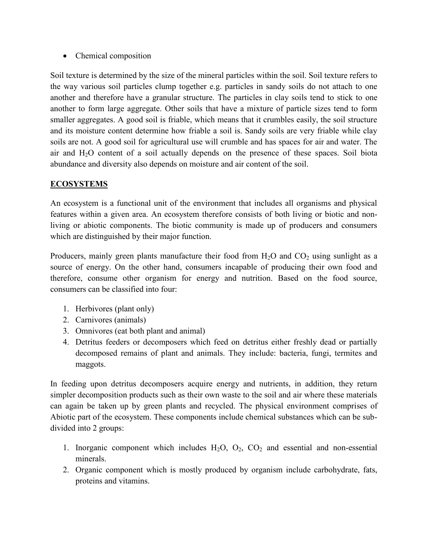• Chemical composition

Soil texture is determined by the size of the mineral particles within the soil. Soil texture refers to the way various soil particles clump together e.g. particles in sandy soils do not attach to one another and therefore have a granular structure. The particles in clay soils tend to stick to one another to form large aggregate. Other soils that have a mixture of particle sizes tend to form smaller aggregates. A good soil is friable, which means that it crumbles easily, the soil structure and its moisture content determine how friable a soil is. Sandy soils are very friable while clay soils are not. A good soil for agricultural use will crumble and has spaces for air and water. The air and H2O content of a soil actually depends on the presence of these spaces. Soil biota abundance and diversity also depends on moisture and air content of the soil.

## **ECOSYSTEMS**

An ecosystem is a functional unit of the environment that includes all organisms and physical features within a given area. An ecosystem therefore consists of both living or biotic and nonliving or abiotic components. The biotic community is made up of producers and consumers which are distinguished by their major function.

Producers, mainly green plants manufacture their food from  $H_2O$  and  $CO_2$  using sunlight as a source of energy. On the other hand, consumers incapable of producing their own food and therefore, consume other organism for energy and nutrition. Based on the food source, consumers can be classified into four:

- 1. Herbivores (plant only)
- 2. Carnivores (animals)
- 3. Omnivores (eat both plant and animal)
- 4. Detritus feeders or decomposers which feed on detritus either freshly dead or partially decomposed remains of plant and animals. They include: bacteria, fungi, termites and maggots.

In feeding upon detritus decomposers acquire energy and nutrients, in addition, they return simpler decomposition products such as their own waste to the soil and air where these materials can again be taken up by green plants and recycled. The physical environment comprises of Abiotic part of the ecosystem. These components include chemical substances which can be subdivided into 2 groups:

- 1. Inorganic component which includes  $H_2O$ ,  $O_2$ ,  $CO_2$  and essential and non-essential minerals.
- 2. Organic component which is mostly produced by organism include carbohydrate, fats, proteins and vitamins.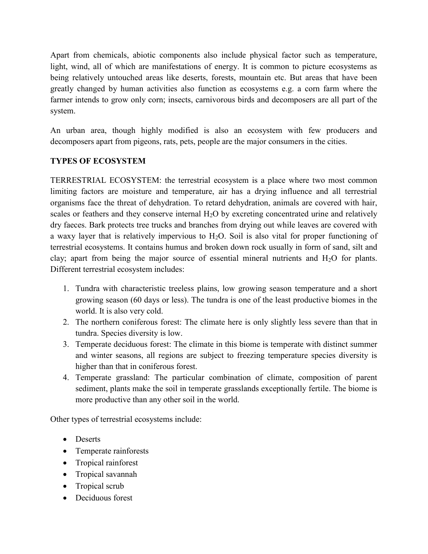Apart from chemicals, abiotic components also include physical factor such as temperature, light, wind, all of which are manifestations of energy. It is common to picture ecosystems as being relatively untouched areas like deserts, forests, mountain etc. But areas that have been greatly changed by human activities also function as ecosystems e.g. a corn farm where the farmer intends to grow only corn; insects, carnivorous birds and decomposers are all part of the system.

An urban area, though highly modified is also an ecosystem with few producers and decomposers apart from pigeons, rats, pets, people are the major consumers in the cities.

## **TYPES OF ECOSYSTEM**

TERRESTRIAL ECOSYSTEM: the terrestrial ecosystem is a place where two most common limiting factors are moisture and temperature, air has a drying influence and all terrestrial organisms face the threat of dehydration. To retard dehydration, animals are covered with hair, scales or feathers and they conserve internal  $H<sub>2</sub>O$  by excreting concentrated urine and relatively dry faeces. Bark protects tree trucks and branches from drying out while leaves are covered with a waxy layer that is relatively impervious to  $H_2O$ . Soil is also vital for proper functioning of terrestrial ecosystems. It contains humus and broken down rock usually in form of sand, silt and clay; apart from being the major source of essential mineral nutrients and  $H_2O$  for plants. Different terrestrial ecosystem includes:

- 1. Tundra with characteristic treeless plains, low growing season temperature and a short growing season (60 days or less). The tundra is one of the least productive biomes in the world. It is also very cold.
- 2. The northern coniferous forest: The climate here is only slightly less severe than that in tundra. Species diversity is low.
- 3. Temperate deciduous forest: The climate in this biome is temperate with distinct summer and winter seasons, all regions are subject to freezing temperature species diversity is higher than that in coniferous forest.
- 4. Temperate grassland: The particular combination of climate, composition of parent sediment, plants make the soil in temperate grasslands exceptionally fertile. The biome is more productive than any other soil in the world.

Other types of terrestrial ecosystems include:

- Deserts
- Temperate rainforests
- Tropical rainforest
- Tropical savannah
- Tropical scrub
- Deciduous forest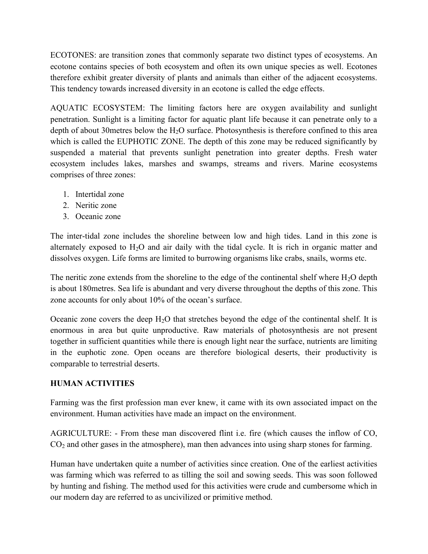ECOTONES: are transition zones that commonly separate two distinct types of ecosystems. An ecotone contains species of both ecosystem and often its own unique species as well. Ecotones therefore exhibit greater diversity of plants and animals than either of the adjacent ecosystems. This tendency towards increased diversity in an ecotone is called the edge effects.

AQUATIC ECOSYSTEM: The limiting factors here are oxygen availability and sunlight penetration. Sunlight is a limiting factor for aquatic plant life because it can penetrate only to a depth of about 30 metres below the  $H_2O$  surface. Photosynthesis is therefore confined to this area which is called the EUPHOTIC ZONE. The depth of this zone may be reduced significantly by suspended a material that prevents sunlight penetration into greater depths. Fresh water ecosystem includes lakes, marshes and swamps, streams and rivers. Marine ecosystems comprises of three zones:

- 1. Intertidal zone
- 2. Neritic zone
- 3. Oceanic zone

The inter-tidal zone includes the shoreline between low and high tides. Land in this zone is alternately exposed to  $H_2O$  and air daily with the tidal cycle. It is rich in organic matter and dissolves oxygen. Life forms are limited to burrowing organisms like crabs, snails, worms etc.

The neritic zone extends from the shoreline to the edge of the continental shelf where  $H_2O$  depth is about 180metres. Sea life is abundant and very diverse throughout the depths of this zone. This zone accounts for only about 10% of the ocean's surface.

Oceanic zone covers the deep  $H_2O$  that stretches beyond the edge of the continental shelf. It is enormous in area but quite unproductive. Raw materials of photosynthesis are not present together in sufficient quantities while there is enough light near the surface, nutrients are limiting in the euphotic zone. Open oceans are therefore biological deserts, their productivity is comparable to terrestrial deserts.

### **HUMAN ACTIVITIES**

Farming was the first profession man ever knew, it came with its own associated impact on the environment. Human activities have made an impact on the environment.

AGRICULTURE: - From these man discovered flint i.e. fire (which causes the inflow of CO,  $CO<sub>2</sub>$  and other gases in the atmosphere), man then advances into using sharp stones for farming.

Human have undertaken quite a number of activities since creation. One of the earliest activities was farming which was referred to as tilling the soil and sowing seeds. This was soon followed by hunting and fishing. The method used for this activities were crude and cumbersome which in our modern day are referred to as uncivilized or primitive method.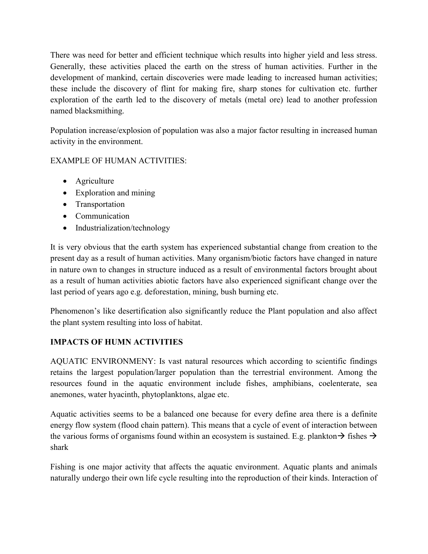There was need for better and efficient technique which results into higher yield and less stress. Generally, these activities placed the earth on the stress of human activities. Further in the development of mankind, certain discoveries were made leading to increased human activities; these include the discovery of flint for making fire, sharp stones for cultivation etc. further exploration of the earth led to the discovery of metals (metal ore) lead to another profession named blacksmithing.

Population increase/explosion of population was also a major factor resulting in increased human activity in the environment.

### EXAMPLE OF HUMAN ACTIVITIES:

- Agriculture
- Exploration and mining
- Transportation
- Communication
- Industrialization/technology

It is very obvious that the earth system has experienced substantial change from creation to the present day as a result of human activities. Many organism/biotic factors have changed in nature in nature own to changes in structure induced as a result of environmental factors brought about as a result of human activities abiotic factors have also experienced significant change over the last period of years ago e.g. deforestation, mining, bush burning etc.

Phenomenon's like desertification also significantly reduce the Plant population and also affect the plant system resulting into loss of habitat.

### **IMPACTS OF HUMN ACTIVITIES**

AQUATIC ENVIRONMENY: Is vast natural resources which according to scientific findings retains the largest population/larger population than the terrestrial environment. Among the resources found in the aquatic environment include fishes, amphibians, coelenterate, sea anemones, water hyacinth, phytoplanktons, algae etc.

Aquatic activities seems to be a balanced one because for every define area there is a definite energy flow system (flood chain pattern). This means that a cycle of event of interaction between the various forms of organisms found within an ecosystem is sustained. E.g. plankton  $\rightarrow$  fishes  $\rightarrow$ shark

Fishing is one major activity that affects the aquatic environment. Aquatic plants and animals naturally undergo their own life cycle resulting into the reproduction of their kinds. Interaction of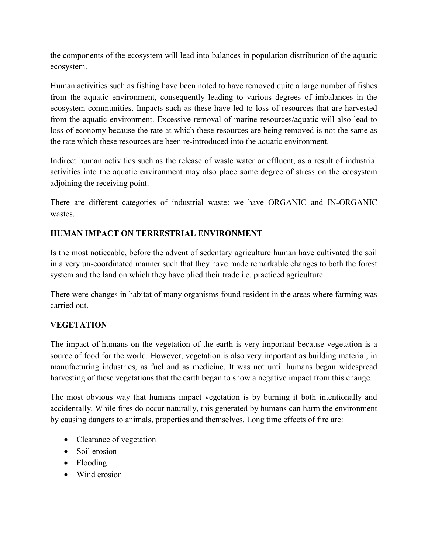the components of the ecosystem will lead into balances in population distribution of the aquatic ecosystem.

Human activities such as fishing have been noted to have removed quite a large number of fishes from the aquatic environment, consequently leading to various degrees of imbalances in the ecosystem communities. Impacts such as these have led to loss of resources that are harvested from the aquatic environment. Excessive removal of marine resources/aquatic will also lead to loss of economy because the rate at which these resources are being removed is not the same as the rate which these resources are been re-introduced into the aquatic environment.

Indirect human activities such as the release of waste water or effluent, as a result of industrial activities into the aquatic environment may also place some degree of stress on the ecosystem adjoining the receiving point.

There are different categories of industrial waste: we have ORGANIC and IN-ORGANIC wastes.

### **HUMAN IMPACT ON TERRESTRIAL ENVIRONMENT**

Is the most noticeable, before the advent of sedentary agriculture human have cultivated the soil in a very un-coordinated manner such that they have made remarkable changes to both the forest system and the land on which they have plied their trade i.e. practiced agriculture.

There were changes in habitat of many organisms found resident in the areas where farming was carried out.

# **VEGETATION**

The impact of humans on the vegetation of the earth is very important because vegetation is a source of food for the world. However, vegetation is also very important as building material, in manufacturing industries, as fuel and as medicine. It was not until humans began widespread harvesting of these vegetations that the earth began to show a negative impact from this change.

The most obvious way that humans impact vegetation is by burning it both intentionally and accidentally. While fires do occur naturally, this generated by humans can harm the environment by causing dangers to animals, properties and themselves. Long time effects of fire are:

- Clearance of vegetation
- Soil erosion
- Flooding
- Wind erosion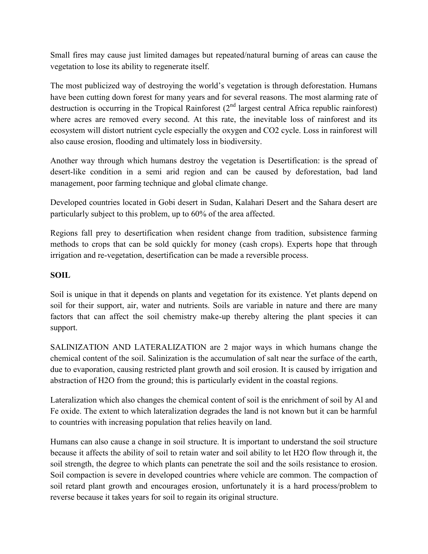Small fires may cause just limited damages but repeated/natural burning of areas can cause the vegetation to lose its ability to regenerate itself.

The most publicized way of destroying the world's vegetation is through deforestation. Humans have been cutting down forest for many years and for several reasons. The most alarming rate of destruction is occurring in the Tropical Rainforest  $(2<sup>nd</sup>$  largest central Africa republic rainforest) where acres are removed every second. At this rate, the inevitable loss of rainforest and its ecosystem will distort nutrient cycle especially the oxygen and CO2 cycle. Loss in rainforest will also cause erosion, flooding and ultimately loss in biodiversity.

Another way through which humans destroy the vegetation is Desertification: is the spread of desert-like condition in a semi arid region and can be caused by deforestation, bad land management, poor farming technique and global climate change.

Developed countries located in Gobi desert in Sudan, Kalahari Desert and the Sahara desert are particularly subject to this problem, up to 60% of the area affected.

Regions fall prey to desertification when resident change from tradition, subsistence farming methods to crops that can be sold quickly for money (cash crops). Experts hope that through irrigation and re-vegetation, desertification can be made a reversible process.

### **SOIL**

Soil is unique in that it depends on plants and vegetation for its existence. Yet plants depend on soil for their support, air, water and nutrients. Soils are variable in nature and there are many factors that can affect the soil chemistry make-up thereby altering the plant species it can support.

SALINIZATION AND LATERALIZATION are 2 major ways in which humans change the chemical content of the soil. Salinization is the accumulation of salt near the surface of the earth, due to evaporation, causing restricted plant growth and soil erosion. It is caused by irrigation and abstraction of H2O from the ground; this is particularly evident in the coastal regions.

Lateralization which also changes the chemical content of soil is the enrichment of soil by Al and Fe oxide. The extent to which lateralization degrades the land is not known but it can be harmful to countries with increasing population that relies heavily on land.

Humans can also cause a change in soil structure. It is important to understand the soil structure because it affects the ability of soil to retain water and soil ability to let H2O flow through it, the soil strength, the degree to which plants can penetrate the soil and the soils resistance to erosion. Soil compaction is severe in developed countries where vehicle are common. The compaction of soil retard plant growth and encourages erosion, unfortunately it is a hard process/problem to reverse because it takes years for soil to regain its original structure.